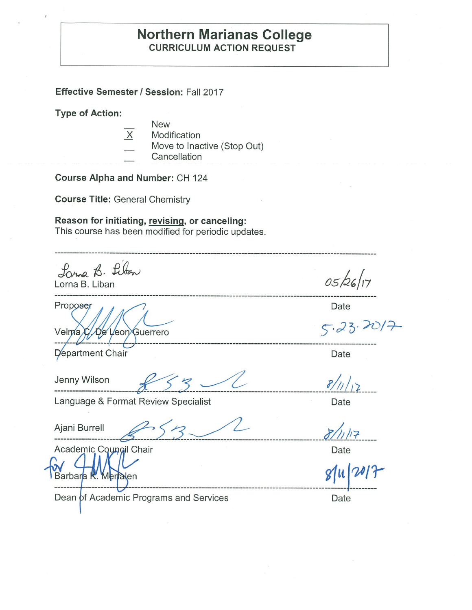### **Northern Marianas College CURRICULUM ACTION REQUEST**

**Effective Semester/ Session:** Fall 2017

**Type of Action:** 

- **New**
- X Modification Move to Inactive (Stop Out) **Cancellation**

**Course Alpha and Number:** CH 124

**Course Title:** General Chemistry

**Reason for initiating, revising, or canceling:** 

This course has been modified for periodic updates.

Lonna B. Liban<br>Lorna B. Liban

Proposer Date  $Velmac. De Veon Guerrero$   $5.23.20/7.$ 

\_\_\_\_ ---- ---------------------------------------------------------------------------- Date

Language & Format Review Specialist **Example 2** Date

Ajani Burrell \_\_\_\_ £' *f* 5 ~ \_\_\_\_\_\_\_\_\_\_\_\_\_\_\_\_\_\_\_\_\_ *Jc(l!.J,:;,-* \_\_\_\_ \_

Barbara K. Merfalen

Jenny Wilson \_\_\_\_\_\_ ,L> .3 -~ ------------------------- *1/;;* /t1:\_ \_\_\_ \_

05/26/17

Date

Dean of Academic Programs and Services **Date** Date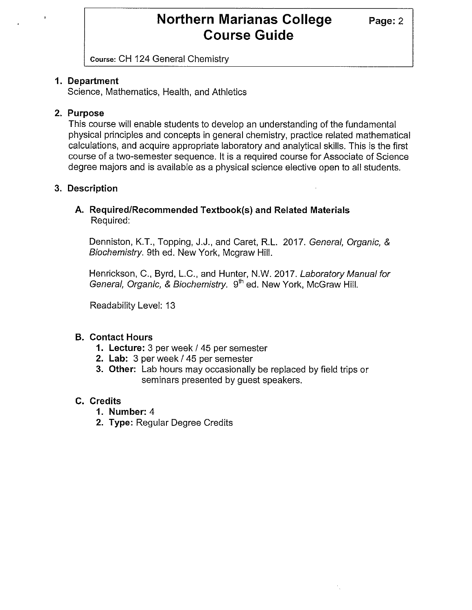Course: CH 124 General Chemistry

### **1. Department**

Science, Mathematics, Health, and Athletics

### **2. Purpose**

This course will enable students to develop an understanding of the fundamental physical principles and concepts in general chemistry, practice related mathematical calculations, and acquire appropriate laboratory and analytical skills. This is the first course of a two-semester sequence. It is a required course for Associate of Science degree majors and is available as a physical science elective open to all students.

### **3. Description**

### **A. Required/Recommended Textbook(s) and Related Materials**  Required:

Denniston, K.T., Topping, J.J., and Caret, R.L. 2017. General, Organic, & Biochemistry. 9th ed. New York, Mcgraw Hill.

Henrickson, C., Byrd, L.C., and Hunter, N.W. 2017. Laboratory Manual for General, Organic, & Biochemistry. 9<sup>th</sup> ed. New York, McGraw Hill.

Readability Level: 13

### **B. Contact Hours**

- **1. Lecture:** 3 per week/ 45 per semester
- **2. Lab:** 3 per week / 45 per semester
- **3. Other:** Lab hours may occasionally be replaced by field trips or seminars presented by guest speakers.

### **C. Credits**

- **1. Number:** 4
- **2. Type:** Regular Degree Credits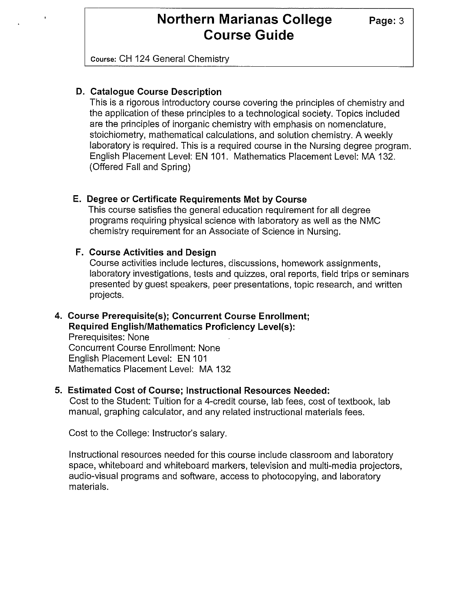Course: CH 124 General Chemistry

#### **D. Catalogue Course Description**

This is a rigorous introductory course covering the principles of chemistry and the application of these principles to a technological society. Topics included are the principles of inorganic chemistry with emphasis on nomenclature, stoichiometry, mathematical calculations, and solution chemistry. A weekly laboratory is required. This is a required course in the Nursing degree program. English Placement Level: EN 101. Mathematics Placement Level: MA 132. (Offered Fall and Spring)

#### **E. Degree or Certificate Requirements Met by Course**

This course satisfies the general education requirement for all degree programs requiring physical science with laboratory as well as the NMC chemistry requirement for an Associate of Science in Nursing.

#### **F. Course Activities and Design**

Course activities include lectures, discussions, homework assignments, laboratory investigations, tests and quizzes, oral reports, field trips or seminars presented by guest speakers, peer presentations, topic research, and written projects.

### **4. Course Prerequisite(s); Concurrent Course Enrollment; Required English/Mathematics Proficiency Level(s):**  Prerequisites: None

Concurrent Course Enrollment: None English Placement Level: EN 101 Mathematics Placement Level: MA 132

#### **5. Estimated Cost of Course; Instructional Resources Needed:**

Cost to the Student: Tuition for a 4-credit course, lab fees, cost of textbook, lab manual, graphing calculator, and any related instructional materials fees.

Cost to the College: Instructor's salary.

Instructional resources needed for this course include classroom and laboratory space, whiteboard and whiteboard markers, television and multi-media projectors, audio-visual programs and software, access to photocopying, and laboratory materials.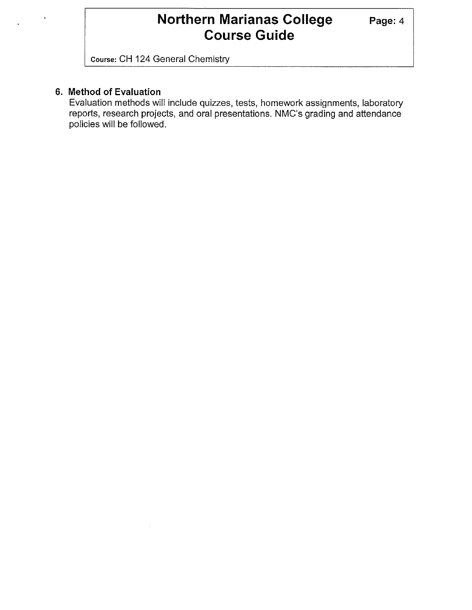Course: CH 124 General Chemistry

#### **6. Method of Evaluation**

Evaluation methods will include quizzes, tests, homework assignments, laboratory reports, research projects, and oral presentations. NMC's grading and attendance policies will be followed.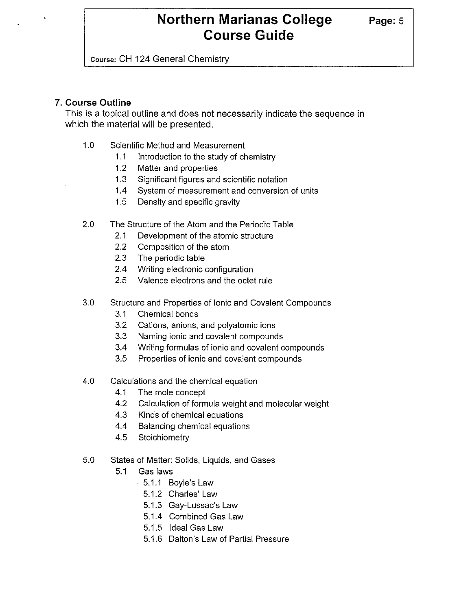Course: CH 124 General Chemistry

#### **7. Course Outline**

This is a topical outline and does not necessarily indicate the sequence in which the material will be presented.

- 1.0 Scientific Method and Measurement
	- 1.1 Introduction to the study of chemistry
	- 1.2 Matter and properties
	- 1.3 Significant figures and scientific notation
	- 1.4 System of measurement and conversion of units
	- 1.5 Density and specific gravity
- 2.0 The Structure of the Atom and the Periodic Table
	- 2.1 Development of the atomic structure
	- 2.2 Composition of the atom
	- 2.3 The periodic table
	- 2.4 Writing electronic configuration
	- 2.5 Valence electrons and the octet rule
- 3.0 Structure and Properties of Ionic and Covalent Compounds
	- 3.1 Chemical bonds
	- 3.2 Cations, anions, and polyatomic ions
	- 3.3 Naming ionic and covalent compounds
	- 3.4 Writing formulas of ionic and covalent compounds
	- 3.5 Properties of ionic and covalent compounds
- 4.0 Calculations and the chemical equation
	- 4.1 The mole concept
	- 4.2 Calculation of formula weight and molecular weight
	- 4.3 Kinds of chemical equations
	- 4.4 Balancing chemical equations
	- 4.5 Stoichiometry
- 5.0 States of Matter: Solids, Liquids, and Gases
	- 5.1 Gas laws
		- 5.1.1 Boyle's Law
			- 5.1.2 Charles' Law
			- 5.1.3 Gay-Lussac's Law
			- 5.1.4 Combined Gas Law
			- 5.1.5 Ideal Gas Law
		- 5.1.6 Dalton's Law of Partial Pressure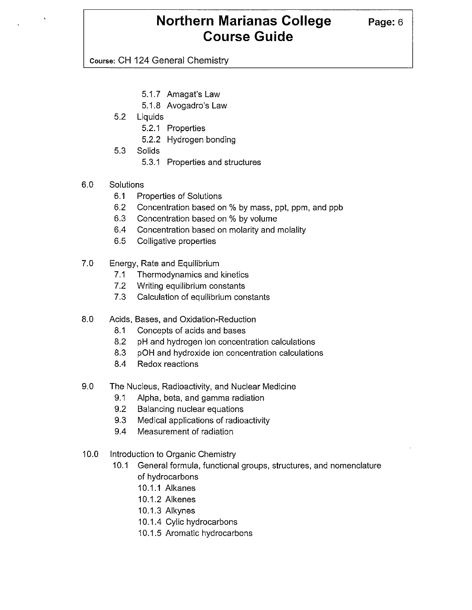Course: CH 124 General Chemistry

- 5.1.7 Amagat's Law
- 5.1.8 Avogadro's Law
- 5.2 Liquids
	- 5.2.1 Properties
	- 5.2.2 Hydrogen bonding
- 5.3 Solids
	- 5.3.1 Properties and structures
- 6.0 Solutions
	- 6.1 Properties of Solutions
	- 6.2 Concentration based on % by mass, ppt, ppm, and ppb
	- 6.3 Concentration based on % by volume
	- 6.4 Concentration based on molarity and molality
	- 6.5 Colligative properties
- 7.0 Energy, Rate and Equilibrium
	- 7.1 Thermodynamics and kinetics
	- 7.2 Writing equilibrium constants
	- 7.3 Calculation of equilibrium constants
- 8.0 Acids, Bases, and Oxidation-Reduction
	- 8.1 Concepts of acids and bases
	- 8.2 pH and hydrogen ion concentration calculations
	- 8.3 pOH and hydroxide ion concentration calculations
	- 8.4 Redox reactions
- 9.0 The Nucleus, Radioactivity, and Nuclear Medicine
	- 9.1 Alpha, beta, and gamma radiation
	- 9.2 Balancing nuclear equations
	- 9.3 Medical applications of radioactivity
	- 9.4 Measurement of radiation
- 10.0 Introduction to Organic Chemistry
	- 10.1 General formula, functional groups, structures, and nomenclature of hydrocarbons
		- 10.1.1 Alkanes
		- 10.1.2 Alkenes
		- 10.1.3 Alkynes
		- 10.1.4 Cylic hydrocarbons
		- 10.1.5 Aromatic hydrocarbons

**Page:6**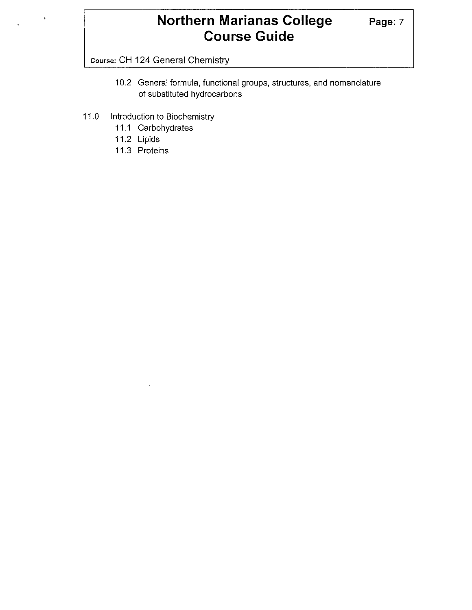Course: CH 124 General Chemistry

- 10.2 General formula, functional groups, structures, and nomenclature of substituted hydrocarbons
- 11.0 Introduction to Biochemistry
	- 11.1 Carbohydrates
	- 11.2 Lipids
	- 11.3 Proteins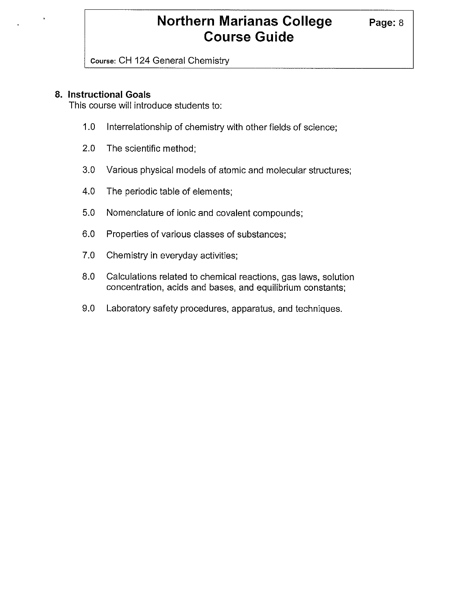Course: CH 124 General Chemistry

### **8. Instructional Goals**

This course will introduce students to:

- 1.0 Interrelationship of chemistry with other fields of science;
- 2.0 The scientific method;
- 3.0 Various physical models of atomic and molecular structures;
- 4.0 The periodic table of elements;
- 5.0 Nomenclature of ionic and covalent compounds;
- 6.0 Properties of various classes of substances;
- 7.0 Chemistry in everyday activities;
- 8.0 Calculations related to chemical reactions, gas laws, solution concentration, acids and bases, and equilibrium constants;
- 9.0 Laboratory safety procedures, apparatus, and techniques.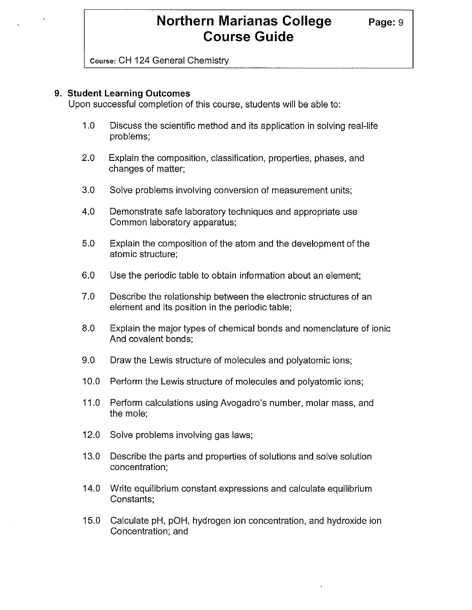Course: CH 124 General Chemistry

#### **9. Student Learning Outcomes**

Upon successful completion of this course, students will be able to:

- 1.0 Discuss the scientific method and its application in solving real-life problems;
- 2.0 Explain the composition, classification, properties, phases, and changes of matter;
- 3.0 Solve problems involving conversion of measurement units;
- 4.0 Demonstrate safe laboratory techniques and appropriate use Common laboratory apparatus;
- 5.0 Explain the composition of the atom and the development of the atomic structure;
- 6.0 Use the periodic table to obtain information about an element;
- 7.0 Describe the relationship between the electronic structures of an element and its position in the periodic table;
- 8.0 Explain the major types of chemical bonds and nomenclature of ionic And covalent bonds;
- 9.0 Draw the Lewis structure of molecules and polyatomic ions;
- 10.0 Perform the Lewis structure of molecules and polyatomic ions;
- 11.0 Perform calculations using Avogadro's number, molar mass, and the mole;
- 12.0 Solve problems involving gas laws;
- 13.0 Describe the parts and properties of solutions and solve solution concentration;
- 14.0 Write equilibrium constant expressions and calculate equilibrium Constants;
- 15.0 Calculate pH, pOH, hydrogen ion concentration, and hydroxide ion Concentration; and